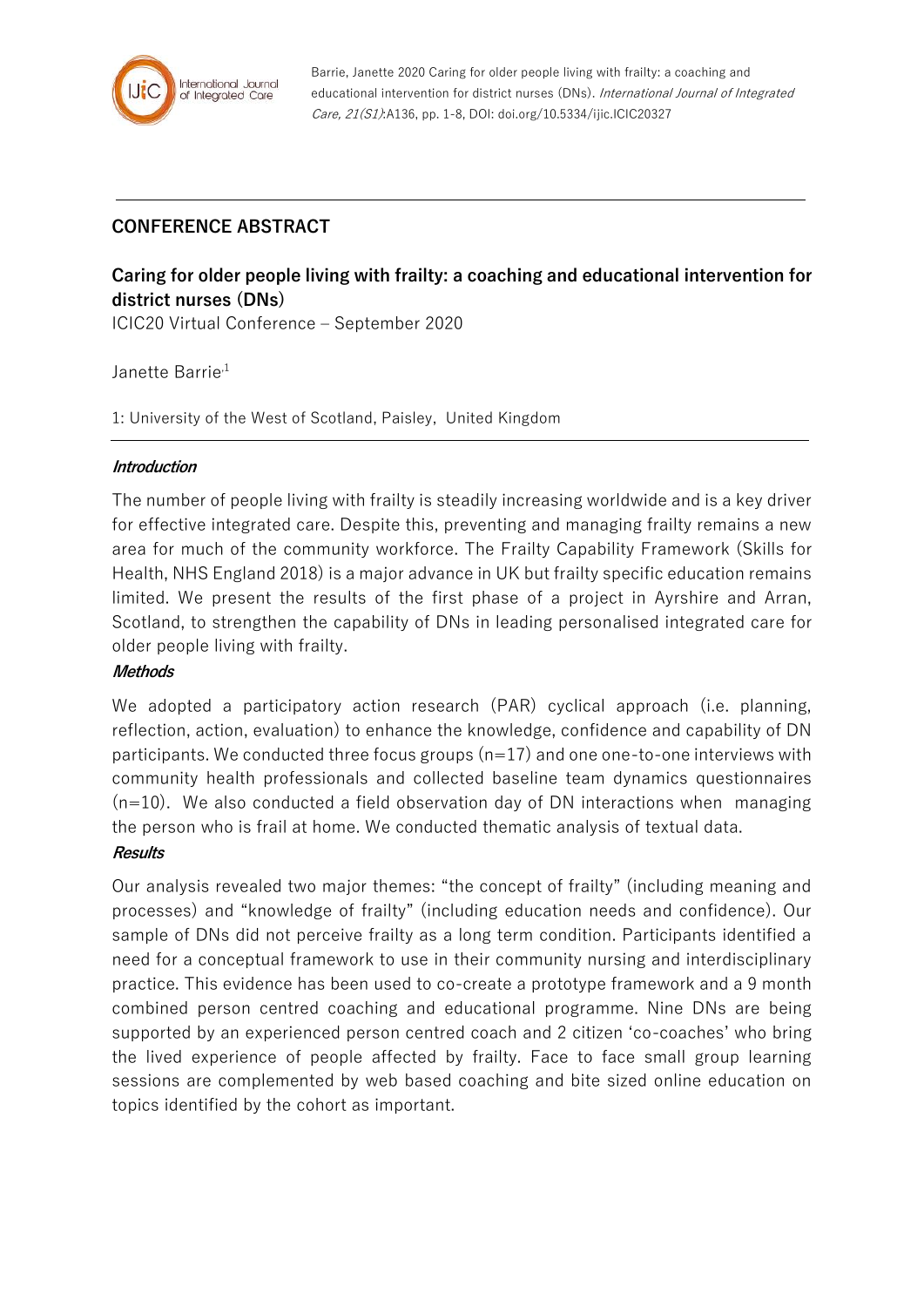

# **CONFERENCE ABSTRACT**

# **Caring for older people living with frailty: a coaching and educational intervention for district nurses (DNs)**

ICIC20 Virtual Conference – September 2020

# Janette Barrie<sup>,1</sup>

1: University of the West of Scotland, Paisley, United Kingdom

#### **Introduction**

The number of people living with frailty is steadily increasing worldwide and is a key driver for effective integrated care. Despite this, preventing and managing frailty remains a new area for much of the community workforce. The Frailty Capability Framework (Skills for Health, NHS England 2018) is a major advance in UK but frailty specific education remains limited. We present the results of the first phase of a project in Ayrshire and Arran, Scotland, to strengthen the capability of DNs in leading personalised integrated care for older people living with frailty.

# **Methods**

We adopted a participatory action research (PAR) cyclical approach (i.e. planning, reflection, action, evaluation) to enhance the knowledge, confidence and capability of DN participants. We conducted three focus groups (n=17) and one one-to-one interviews with community health professionals and collected baseline team dynamics questionnaires  $(n=10)$ . We also conducted a field observation day of DN interactions when managing the person who is frail at home. We conducted thematic analysis of textual data.

# **Results**

Our analysis revealed two major themes: "the concept of frailty" (including meaning and processes) and "knowledge of frailty" (including education needs and confidence). Our sample of DNs did not perceive frailty as a long term condition. Participants identified a need for a conceptual framework to use in their community nursing and interdisciplinary practice. This evidence has been used to co-create a prototype framework and a 9 month combined person centred coaching and educational programme. Nine DNs are being supported by an experienced person centred coach and 2 citizen 'co-coaches' who bring the lived experience of people affected by frailty. Face to face small group learning sessions are complemented by web based coaching and bite sized online education on topics identified by the cohort as important.